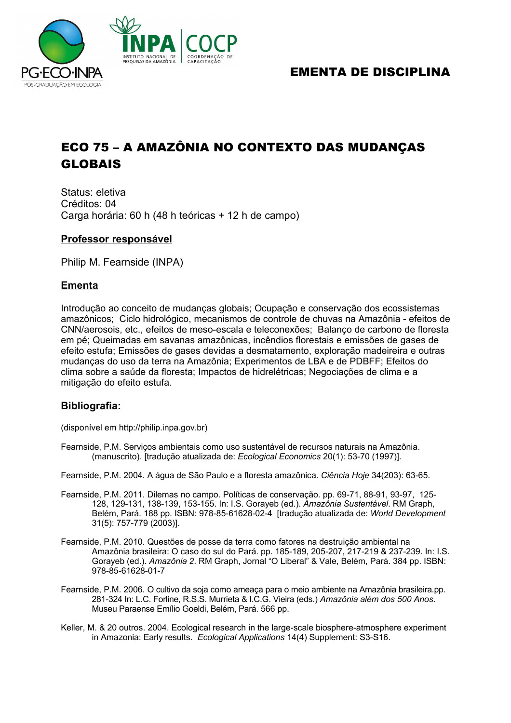

## EMENTA DE DISCIPLINA

# ECO 75 – A AMAZÔNIA NO CONTEXTO DAS MUDANÇAS GLOBAIS

Status: eletiva Créditos: 04 Carga horária: 60 h (48 h teóricas + 12 h de campo)

### **Professor responsável**

Philip M. Fearnside (INPA)

### **Ementa**

Introdução ao conceito de mudanças globais; Ocupação e conservação dos ecossistemas amazônicos; Ciclo hidrológico, mecanismos de controle de chuvas na Amazônia - efeitos de CNN/aerosois, etc., efeitos de meso-escala e teleconexões; Balanço de carbono de floresta em pé; Queimadas em savanas amazônicas, incêndios florestais e emissões de gases de efeito estufa; Emissões de gases devidas a desmatamento, exploração madeireira e outras mudanças do uso da terra na Amazônia; Experimentos de LBA e de PDBFF; Efeitos do clima sobre a saúde da floresta; Impactos de hidrelétricas; Negociações de clima e a mitigação do efeito estufa.

#### **Bibliografia:**

(disponível em http://philip.inpa.gov.br)

- Fearnside, P.M. Serviços ambientais como uso sustentável de recursos naturais na Amazônia. (manuscrito). [tradução atualizada de: *Ecological Economics* 20(1): 53-70 (1997)].
- Fearnside, P.M. 2004. A água de São Paulo e a floresta amazônica. *Ciência Hoje* 34(203): 63-65.
- Fearnside, P.M. 2011. Dilemas no campo. Políticas de conservação. pp. 69-71, 88-91, 93-97, 125- 128, 129-131, 138-139, 153-155. In: I.S. Gorayeb (ed.). *Amazônia Sustentável*. RM Graph, Belém, Pará. 188 pp. ISBN: 978-85-61628-02-4 [tradução atualizada de: *World Development* 31(5): 757-779 (2003)].
- Fearnside, P.M. 2010. Questões de posse da terra como fatores na destruição ambiental na Amazônia brasileira: O caso do sul do Pará. pp. 185-189, 205-207, 217-219 & 237-239. In: I.S. Gorayeb (ed.). *Amazônia 2*. RM Graph, Jornal "O Liberal" & Vale, Belém, Pará. 384 pp. ISBN: 978-85-61628-01-7
- Fearnside, P.M. 2006. O cultivo da soja como ameaça para o meio ambiente na Amazônia brasileira.pp. 281-324 In: L.C. Forline, R.S.S. Murrieta & I.C.G. Vieira (eds.) *Amazônia além dos 500 Anos*. Museu Paraense Emílio Goeldi, Belém, Pará. 566 pp.
- Keller, M. & 20 outros. 2004. Ecological research in the large-scale biosphere-atmosphere experiment in Amazonia: Early results. *Ecological Applications* 14(4) Supplement: S3-S16.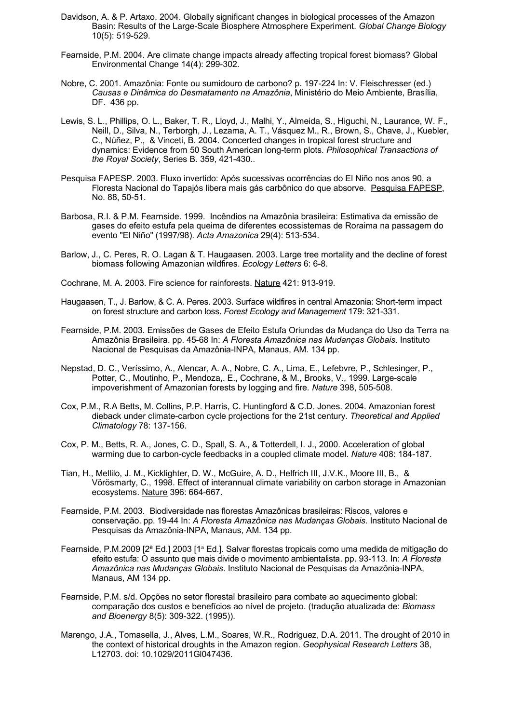- Davidson, A. & P. Artaxo. 2004. Globally significant changes in biological processes of the Amazon Basin: Results of the Large-Scale Biosphere Atmosphere Experiment. *Global Change Biology* 10(5): 519-529.
- Fearnside, P.M. 2004. Are climate change impacts already affecting tropical forest biomass? Global Environmental Change 14(4): 299-302.
- Nobre, C. 2001. Amazônia: Fonte ou sumidouro de carbono? p. 197-224 In: V. Fleischresser (ed.) *Causas e Dinâmica do Desmatamento na Amazônia*, Ministério do Meio Ambiente, Brasília, DF. 436 pp.
- Lewis, S. L., Phillips, O. L., Baker, T. R., Lloyd, J., Malhi, Y., Almeida, S., Higuchi, N., Laurance, W. F., Neill, D., Silva, N., Terborgh, J., Lezama, A. T., Vásquez M., R., Brown, S., Chave, J., Kuebler, C., Núñez, P., & Vinceti, B. 2004. Concerted changes in tropical forest structure and dynamics: Evidence from 50 South American long-term plots*. Philosophical Transactions of the Royal Society*, Series B. 359, 421-430..
- Pesquisa FAPESP. 2003. Fluxo invertido: Após sucessivas ocorrências do El Niño nos anos 90, a Floresta Nacional do Tapajós libera mais gás carbônico do que absorve. Pesquisa FAPESP, No. 88, 50-51.
- Barbosa, R.I. & P.M. Fearnside. 1999. Incêndios na Amazônia brasileira: Estimativa da emissão de gases do efeito estufa pela queima de diferentes ecossistemas de Roraima na passagem do evento "El Niño" (1997/98). *Acta Amazonica* 29(4): 513-534.
- Barlow, J., C. Peres, R. O. Lagan & T. Haugaasen. 2003. Large tree mortality and the decline of forest biomass following Amazonian wildfires. *Ecology Letters* 6: 6-8.
- Cochrane, M. A. 2003. Fire science for rainforests. Nature 421: 913-919.
- Haugaasen, T., J. Barlow, & C. A. Peres. 2003. Surface wildfires in central Amazonia: Short-term impact on forest structure and carbon loss. *Forest Ecology and Management* 179: 321-331.
- Fearnside, P.M. 2003. Emissões de Gases de Efeito Estufa Oriundas da Mudança do Uso da Terra na Amazônia Brasileira. pp. 45-68 In: *A Floresta Amazônica nas Mudanças Globais*. Instituto Nacional de Pesquisas da Amazônia-INPA, Manaus, AM. 134 pp.
- Nepstad, D. C., Veríssimo, A., Alencar, A. A., Nobre, C. A., Lima, E., Lefebvre, P., Schlesinger, P., Potter, C., Moutinho, P., Mendoza,. E., Cochrane, & M., Brooks, V., 1999. Large-scale impoverishment of Amazonian forests by logging and fire*. Nature* 398, 505-508.
- Cox, P.M., R.A Betts, M. Collins, P.P. Harris, C. Huntingford & C.D. Jones. 2004. Amazonian forest dieback under climate-carbon cycle projections for the 21st century. *Theoretical and Applied Climatology* 78: 137-156.
- Cox, P. M., Betts, R. A., Jones, C. D., Spall, S. A., & Totterdell, I. J., 2000. Acceleration of global warming due to carbon-cycle feedbacks in a coupled climate model. *Nature* 408: 184-187.
- Tian, H., Mellilo, J. M., Kicklighter, D. W., McGuire, A. D., Helfrich III, J.V.K., Moore III, B., & Vörösmarty, C., 1998. Effect of interannual climate variability on carbon storage in Amazonian ecosystems. Nature 396: 664-667.
- Fearnside, P.M. 2003. Biodiversidade nas florestas Amazônicas brasileiras: Riscos, valores e conservação. pp. 19-44 In: *A Floresta Amazônica nas Mudanças Globais*. Instituto Nacional de Pesquisas da Amazônia-INPA, Manaus, AM. 134 pp.
- Fearnside, P.M.2009 [2ª Ed.] 2003 [1ª Ed.]. Salvar florestas tropicais como uma medida de mitigação do efeito estufa: O assunto que mais divide o movimento ambientalista. pp. 93-113. In: *A Floresta Amazônica nas Mudanças Globais*. Instituto Nacional de Pesquisas da Amazônia-INPA, Manaus, AM 134 pp.
- Fearnside, P.M. s/d. Opções no setor florestal brasileiro para combate ao aquecimento global: comparação dos custos e benefícios ao nível de projeto. (tradução atualizada de: *Biomass and Bioenergy* 8(5): 309-322. (1995)).
- Marengo, J.A., Tomasella, J., Alves, L.M., Soares, W.R., Rodriguez, D.A. 2011. The drought of 2010 in the context of historical droughts in the Amazon region. *Geophysical Research Letters* 38, L12703. doi: 10.1029/2011Gl047436.